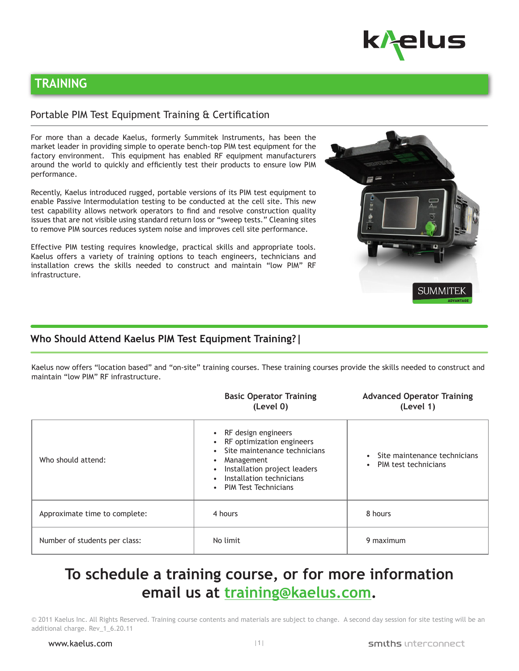

ADVANTAGE

**SUMMITE** 

# **TRAINING**

#### Portable PIM Test Equipment Training & Certification

For more than a decade Kaelus, formerly Summitek Instruments, has been the market leader in providing simple to operate bench-top PIM test equipment for the factory environment. This equipment has enabled RF equipment manufacturers around the world to quickly and efficiently test their products to ensure low PIM performance.

Recently, Kaelus introduced rugged, portable versions of its PIM test equipment to enable Passive Intermodulation testing to be conducted at the cell site. This new test capability allows network operators to find and resolve construction quality issues that are not visible using standard return loss or "sweep tests." Cleaning sites to remove PIM sources reduces system noise and improves cell site performance.

Effective PIM testing requires knowledge, practical skills and appropriate tools. Kaelus offers a variety of training options to teach engineers, technicians and installation crews the skills needed to construct and maintain "low PIM" RF infrastructure.

## **Who Should Attend Kaelus PIM Test Equipment Training?|**

Kaelus now offers "location based" and "on-site" training courses. These training courses provide the skills needed to construct and maintain "low PIM" RF infrastructure.

|                               | <b>Basic Operator Training</b><br>(Level 0)                                                                                                                                               | <b>Advanced Operator Training</b><br>(Level 1)                    |
|-------------------------------|-------------------------------------------------------------------------------------------------------------------------------------------------------------------------------------------|-------------------------------------------------------------------|
| Who should attend:            | RF design engineers<br>RF optimization engineers<br>Site maintenance technicians<br>Management<br>Installation project leaders<br>Installation technicians<br><b>PIM Test Technicians</b> | Site maintenance technicians<br>PIM test technicians<br>$\bullet$ |
| Approximate time to complete: | 4 hours                                                                                                                                                                                   | 8 hours                                                           |
| Number of students per class: | No limit                                                                                                                                                                                  | 9 maximum                                                         |

# **To schedule a training course, or for more information email us at training@kaelus.com.**

© 2011 Kaelus Inc. All Rights Reserved. Training course contents and materials are subject to change. A second day session for site testing will be an additional charge. Rev\_1\_6.20.11